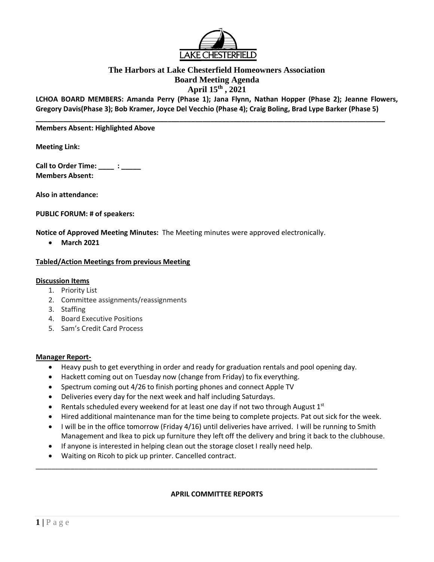

## **The Harbors at Lake Chesterfield Homeowners Association Board Meeting Agenda April 15th , 2021**

**LCHOA BOARD MEMBERS: Amanda Perry (Phase 1); Jana Flynn, Nathan Hopper (Phase 2); Jeanne Flowers, Gregory Davis(Phase 3); Bob Kramer, Joyce Del Vecchio (Phase 4); Craig Boling, Brad Lype Barker (Phase 5)**

**\_\_\_\_\_\_\_\_\_\_\_\_\_\_\_\_\_\_\_\_\_\_\_\_\_\_\_\_\_\_\_\_\_\_\_\_\_\_\_\_\_\_\_\_\_\_\_\_\_\_\_\_\_\_\_\_\_\_\_\_\_\_\_\_\_\_\_\_\_\_\_\_\_\_\_\_\_\_\_\_\_\_\_\_\_\_\_\_\_\_** 

#### **Members Absent: Highlighted Above**

**Meeting Link:**

**Call to Order Time: \_\_\_\_ : \_\_\_\_\_ Members Absent:** 

**Also in attendance:** 

**PUBLIC FORUM: # of speakers:**

**Notice of Approved Meeting Minutes:** The Meeting minutes were approved electronically.

• **March 2021**

#### **Tabled/Action Meetings from previous Meeting**

#### **Discussion Items**

- 1. Priority List
- 2. Committee assignments/reassignments
- 3. Staffing
- 4. Board Executive Positions
- 5. Sam's Credit Card Process

#### **Manager Report-**

- Heavy push to get everything in order and ready for graduation rentals and pool opening day.
- Hackett coming out on Tuesday now (change from Friday) to fix everything.
- Spectrum coming out 4/26 to finish porting phones and connect Apple TV
- Deliveries every day for the next week and half including Saturdays.
- Rentals scheduled every weekend for at least one day if not two through August  $1<sup>st</sup>$
- Hired additional maintenance man for the time being to complete projects. Pat out sick for the week.
- I will be in the office tomorrow (Friday 4/16) until deliveries have arrived. I will be running to Smith Management and Ikea to pick up furniture they left off the delivery and bring it back to the clubhouse.
- If anyone is interested in helping clean out the storage closet I really need help.
- Waiting on Ricoh to pick up printer. Cancelled contract.

#### **APRIL COMMITTEE REPORTS**

\_\_\_\_\_\_\_\_\_\_\_\_\_\_\_\_\_\_\_\_\_\_\_\_\_\_\_\_\_\_\_\_\_\_\_\_\_\_\_\_\_\_\_\_\_\_\_\_\_\_\_\_\_\_\_\_\_\_\_\_\_\_\_\_\_\_\_\_\_\_\_\_\_\_\_\_\_\_\_\_\_\_\_\_\_\_\_\_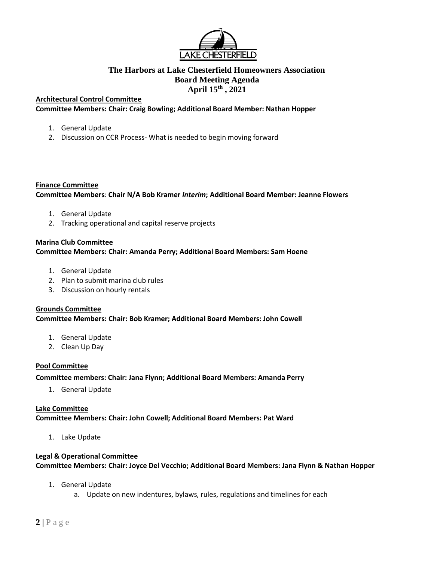

## **The Harbors at Lake Chesterfield Homeowners Association Board Meeting Agenda April 15th , 2021**

### **Architectural Control Committee**

**Committee Members: Chair: Craig Bowling; Additional Board Member: Nathan Hopper**

- 1. General Update
- 2. Discussion on CCR Process- What is needed to begin moving forward

#### **Finance Committee**

**Committee Members**: **Chair N/A Bob Kramer** *Interim***; Additional Board Member: Jeanne Flowers**

- 1. General Update
- 2. Tracking operational and capital reserve projects

#### **Marina Club Committee**

#### **Committee Members: Chair: Amanda Perry; Additional Board Members: Sam Hoene**

- 1. General Update
- 2. Plan to submit marina club rules
- 3. Discussion on hourly rentals

#### **Grounds Committee Committee Members: Chair: Bob Kramer; Additional Board Members: John Cowell**

- 1. General Update
- 2. Clean Up Day

## **Pool Committee**

**Committee members: Chair: Jana Flynn; Additional Board Members: Amanda Perry** 

1. General Update

## **Lake Committee**

**Committee Members: Chair: John Cowell; Additional Board Members: Pat Ward**

1. Lake Update

# **Legal & Operational Committee**

**Committee Members: Chair: Joyce Del Vecchio; Additional Board Members: Jana Flynn & Nathan Hopper**

- 1. General Update
	- a. Update on new indentures, bylaws, rules, regulations and timelines for each